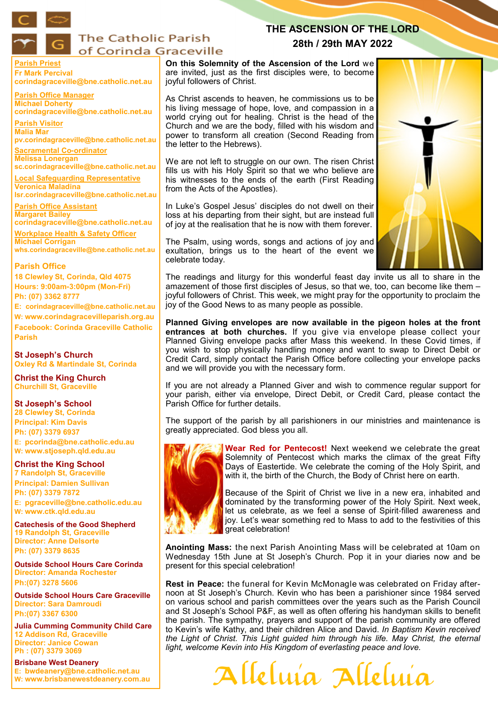

# **The Catholic Parish** of Corinda Graceville

**Parish Priest Fr Mark Percival corindagraceville@bne.catholic.net.au**

**Parish Office Manager Michael Doherty corindagraceville@bne.catholic.net.au**

**Parish Visitor Malia Mar pv.corindagraceville@bne.catholic.net.au**

**Sacramental Co-ordinator Melissa Lonergan sc.corindagraceville@bne.catholic.net.au**

**Local Safeguarding Representative Veronica Maladina lsr.corindagraceville@bne.catholic.net.au**

**Parish Office Assistant Margaret Bailey** 

**corindagraceville@bne.catholic.net.au Workplace Health & Safety Officer**

**Michael Corrigan whs.corindagraceville@bne.catholic.net.au** 

## **Parish Office**

**18 Clewley St, Corinda, Qld 4075 Hours: 9:00am-3:00pm (Mon-Fri) Ph: (07) 3362 8777**

**E: corindagraceville@bne.catholic.net.au**

**W: www.corindagracevilleparish.org.au**

**Facebook: Corinda Graceville Catholic Parish**

**St Joseph's Church Oxley Rd & Martindale St, Corinda**

**Christ the King Church Churchill St, Graceville**

## **St Joseph's School**

**28 Clewley St, Corinda Principal: Kim Davis Ph: (07) 3379 6937 E: pcorinda@bne.catholic.edu.au W: www.stjoseph.qld.edu.au**

# **Christ the King School**

**7 Randolph St, Graceville Principal: Damien Sullivan Ph: (07) 3379 7872 E: pgraceville@bne.catholic.edu.au W: www.ctk.qld.edu.au**

**Catechesis of the Good Shepherd 19 Randolph St, Graceville Director: Anne Delsorte Ph: (07) 3379 8635** 

**Outside School Hours Care Corinda Director: Amanda Rochester Ph:(07) 3278 5606**

**Outside School Hours Care Graceville Director: Sara Damroudi Ph:(07) 3367 6300**

**Julia Cumming Community Child Care 12 Addison Rd, Graceville Director: Janice Cowan Ph : (07) 3379 3069** 

**Brisbane West Deanery E: bwdeanery@bne.catholic.net.au W: www.brisbanewestdeanery.com.au**

**On this Solemnity of the Ascension of the Lord** we are invited, just as the first disciples were, to become joyful followers of Christ.

As Christ ascends to heaven, he commissions us to be his living message of hope, love, and compassion in a world crying out for healing. Christ is the head of the Church and we are the body, filled with his wisdom and power to transform all creation (Second Reading from the letter to the Hebrews).

We are not left to struggle on our own. The risen Christ fills us with his Holy Spirit so that we who believe are his witnesses to the ends of the earth (First Reading from the Acts of the Apostles).

In Luke's Gospel Jesus' disciples do not dwell on their loss at his departing from their sight, but are instead full of joy at the realisation that he is now with them forever.

The Psalm, using words, songs and actions of joy and exultation, brings us to the heart of the event we celebrate today.

The readings and liturgy for this wonderful feast day invite us all to share in the amazement of those first disciples of Jesus, so that we, too, can become like them – joyful followers of Christ. This week, we might pray for the opportunity to proclaim the joy of the Good News to as many people as possible.

**THE ASCENSION OF THE LORD 28th / 29th MAY 2022**

**Planned Giving envelopes are now available in the pigeon holes at the front entrances at both churches.** If you give via envelope please collect your Planned Giving envelope packs after Mass this weekend. In these Covid times, if you wish to stop physically handling money and want to swap to Direct Debit or Credit Card, simply contact the Parish Office before collecting your envelope packs and we will provide you with the necessary form.

If you are not already a Planned Giver and wish to commence regular support for your parish, either via envelope, Direct Debit, or Credit Card, please contact the Parish Office for further details.

The support of the parish by all parishioners in our ministries and maintenance is greatly appreciated. God bless you all.



**Wear Red for Pentecost!** Next weekend we celebrate the great Solemnity of Pentecost which marks the climax of the great Fifty Days of Eastertide. We celebrate the coming of the Holy Spirit, and with it, the birth of the Church, the Body of Christ here on earth.

Because of the Spirit of Christ we live in a new era, inhabited and dominated by the transforming power of the Holy Spirit. Next week, let us celebrate, as we feel a sense of Spirit-filled awareness and joy. Let's wear something red to Mass to add to the festivities of this great celebration!

**Anointing Mass:** the next Parish Anointing Mass will be celebrated at 10am on Wednesday 15th June at St Joseph's Church. Pop it in your diaries now and be present for this special celebration!

**Rest in Peace:** the funeral for Kevin McMonagle was celebrated on Friday afternoon at St Joseph's Church. Kevin who has been a parishioner since 1984 served on various school and parish committees over the years such as the Parish Council and St Joseph's School P&F, as well as often offering his handyman skills to benefit the parish. The sympathy, prayers and support of the parish community are offered to Kevin's wife Kathy, and their children Alice and David. *In Baptism Kevin received the Light of Christ. This Light guided him through his life. May Christ, the eternal light, welcome Kevin into His Kingdom of everlasting peace and love.* 

Alleluía Alleluía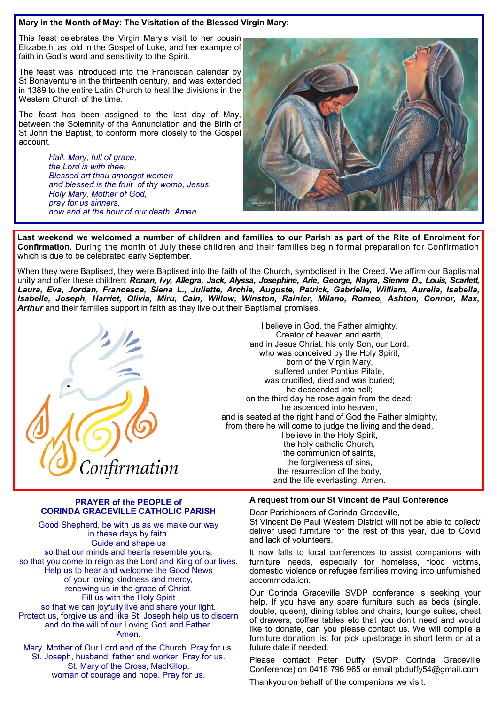## **Mary in the Month of May: The Visitation of the Blessed Virgin Mary:**

This feast celebrates the Virgin Mary's visit to her cousin Elizabeth, as told in the Gospel of Luke, and her example of faith in God's word and sensitivity to the Spirit.

The feast was introduced into the Franciscan calendar by St Bonaventure in the thirteenth century, and was extended in 1389 to the entire Latin Church to heal the divisions in the Western Church of the time.

The feast has been assigned to the last day of May, between the Solemnity of the Annunciation and the Birth of St John the Baptist, to conform more closely to the Gospel account.

> *Hail, Mary, full of grace, the Lord is with thee. Blessed art thou amongst women and blessed is the fruit of thy womb, Jesus. Holy Mary, Mother of God, pray for us sinners, now and at the hour of our death. Amen.*



**Last weekend we welcomed a number of children and families to our Parish as part of the Rite of Enrolment for Confirmation.** During the month of July these children and their families begin formal preparation for Confirmation which is due to be celebrated early September.

When they were Baptised, they were Baptised into the faith of the Church, symbolised in the Creed. We affirm our Baptismal unity and offer these children: *Ronan, Ivy, Allegra, Jack, Alyssa, Josephine, Arie, George, Nayra, Sienna D., Louis, Scarlett, Laura, Eva, Jordan, Francesca, Siena L., Juliette, Archie, Auguste, Patrick, Gabrielle, William, Aurelia, Isabella, Isabelle, Joseph, Harriet, Olivia, Miru, Cain, Willow, Winston, Rainier, Milano, Romeo, Ashton, Connor, Max, Arthur* and their families support in faith as they live out their Baptismal promises.



I believe in God, the Father almighty, Creator of heaven and earth, and in Jesus Christ, his only Son, our Lord, who was conceived by the Holy Spirit, born of the Virgin Mary, suffered under Pontius Pilate. was crucified, died and was buried; he descended into hell; on the third day he rose again from the dead; he ascended into heaven, and is seated at the right hand of God the Father almighty, from there he will come to judge the living and the dead. I believe in the Holy Spirit, the holy catholic Church, the communion of saints, the forgiveness of sins, the resurrection of the body, and the life everlasting. Amen.

### **PRAYER of the PEOPLE of CORINDA GRACEVILLE CATHOLIC PARISH**

Good Shepherd, be with us as we make our way in these days by faith. Guide and shape us so that our minds and hearts resemble yours, so that you come to reign as the Lord and King of our lives. Help us to hear and welcome the Good News of your loving kindness and mercy, renewing us in the grace of Christ. Fill us with the Holy Spirit so that we can joyfully live and share your light. Protect us, forgive us and like St. Joseph help us to discern and do the will of our Loving God and Father. Amen.

Mary, Mother of Our Lord and of the Church. Pray for us. St. Joseph, husband, father and worker. Pray for us. St. Mary of the Cross, MacKillop, woman of courage and hope. Pray for us.

### **A request from our St Vincent de Paul Conference**

Dear Parishioners of Corinda-Graceville, St Vincent De Paul Western District will not be able to collect/ deliver used furniture for the rest of this year, due to Covid and lack of volunteers.

It now falls to local conferences to assist companions with furniture needs, especially for homeless, flood victims, domestic violence or refugee families moving into unfurnished accommodation.

Our Corinda Graceville SVDP conference is seeking your help. If you have any spare furniture such as beds (single, double, queen), dining tables and chairs, lounge suites, chest of drawers, coffee tables etc that you don't need and would like to donate, can you please contact us. We will compile a furniture donation list for pick up/storage in short term or at a future date if needed.

Please contact Peter Duffy (SVDP Corinda Graceville Conference) on 0418 796 965 or email pbduffy54@gmail.com

Thankyou on behalf of the companions we visit.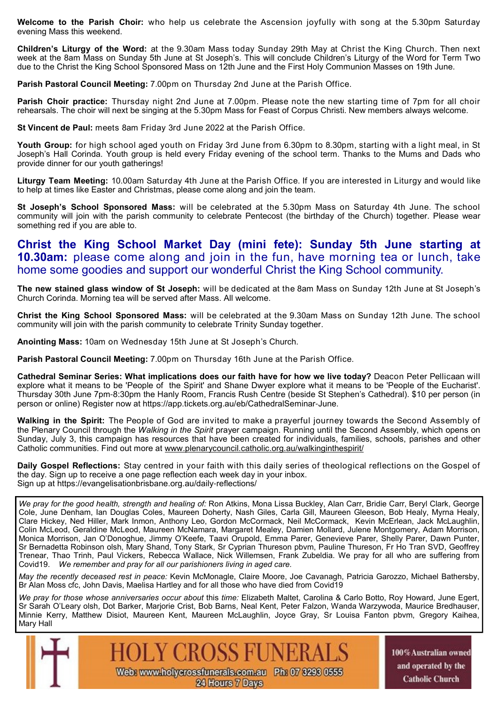**Welcome to the Parish Choir:** who help us celebrate the Ascension joyfully with song at the 5.30pm Saturday evening Mass this weekend.

**Children's Liturgy of the Word:** at the 9.30am Mass today Sunday 29th May at Christ the King Church. Then next week at the 8am Mass on Sunday 5th June at St Joseph's. This will conclude Children's Liturgy of the Word for Term Two due to the Christ the King School Sponsored Mass on 12th June and the First Holy Communion Masses on 19th June.

**Parish Pastoral Council Meeting:** 7.00pm on Thursday 2nd June at the Parish Office.

**Parish Choir practice:** Thursday night 2nd June at 7.00pm. Please note the new starting time of 7pm for all choir rehearsals. The choir will next be singing at the 5.30pm Mass for Feast of Corpus Christi. New members always welcome.

**St Vincent de Paul:** meets 8am Friday 3rd June 2022 at the Parish Office.

**Youth Group:** for high school aged youth on Friday 3rd June from 6.30pm to 8.30pm, starting with a light meal, in St Joseph's Hall Corinda. Youth group is held every Friday evening of the school term. Thanks to the Mums and Dads who provide dinner for our youth gatherings!

**Liturgy Team Meeting:** 10.00am Saturday 4th June at the Parish Office. If you are interested in Liturgy and would like to help at times like Easter and Christmas, please come along and join the team.

**St Joseph's School Sponsored Mass:** will be celebrated at the 5.30pm Mass on Saturday 4th June. The school community will join with the parish community to celebrate Pentecost (the birthday of the Church) together. Please wear something red if you are able to.

# **Christ the King School Market Day (mini fete): Sunday 5th June starting at 10.30am:** please come along and join in the fun, have morning tea or lunch, take home some goodies and support our wonderful Christ the King School community.

**The new stained glass window of St Joseph:** will be dedicated at the 8am Mass on Sunday 12th June at St Joseph's Church Corinda. Morning tea will be served after Mass. All welcome.

**Christ the King School Sponsored Mass:** will be celebrated at the 9.30am Mass on Sunday 12th June. The school community will join with the parish community to celebrate Trinity Sunday together.

**Anointing Mass:** 10am on Wednesday 15th June at St Joseph's Church.

**Parish Pastoral Council Meeting:** 7.00pm on Thursday 16th June at the Parish Office.

**Cathedral Seminar Series: What implications does our faith have for how we live today?** Deacon Peter Pellicaan will explore what it means to be 'People of the Spirit' and Shane Dwyer explore what it means to be 'People of the Eucharist'. Thursday 30th June 7pm-8:30pm the Hanly Room, Francis Rush Centre (beside St Stephen's Cathedral). \$10 per person (in person or online) Register now at https://app.tickets.org.au/eb/CathedralSeminar-June.

**Walking in the Spirit:** The People of God are invited to make a prayerful journey towards the Second Assembly of the Plenary Council through the *Walking in the Spirit* prayer campaign. Running until the Second Assembly, which opens on Sunday, July 3, this campaign has resources that have been created for individuals, families, schools, parishes and other Catholic communities. Find out more at www.plenarycouncil.catholic.org.au/walkinginthespirit/

**Daily Gospel Reflections:** Stay centred in your faith with this daily series of theological reflections on the Gospel of the day. Sign up to receive a one page reflection each week day in your inbox. Sign up at https://evangelisationbrisbane.org.au/daily-reflections/

*We pray for the good health, strength and healing of:* Ron Atkins, Mona Lissa Buckley, Alan Carr, Bridie Carr, Beryl Clark, George Cole, June Denham, Ian Douglas Coles, Maureen Doherty, Nash Giles, Carla Gill, Maureen Gleeson, Bob Healy, Myrna Healy, Clare Hickey, Ned Hiller, Mark Inmon, Anthony Leo, Gordon McCormack, Neil McCormack, Kevin McErlean, Jack McLaughlin, Colin McLeod, Geraldine McLeod, Maureen McNamara, Margaret Mealey, Damien Mollard, Julene Montgomery, Adam Morrison, Monica Morrison, Jan O'Donoghue, Jimmy O'Keefe, Taavi Orupold, Emma Parer, Genevieve Parer, Shelly Parer, Dawn Punter, Sr Bernadetta Robinson olsh, Mary Shand, Tony Stark, Sr Cyprian Thureson pbvm, Pauline Thureson, Fr Ho Tran SVD, Geoffrey Trenear, Thao Trinh, Paul Vickers, Rebecca Wallace, Nick Willemsen, Frank Zubeldia. We pray for all who are suffering from Covid19. *We remember and pray for all our parishioners living in aged care.* 

*May the recently deceased rest in peace:* Kevin McMonagle, Claire Moore, Joe Cavanagh, Patricia Garozzo, Michael Bathersby, Br Alan Moss cfc, John Davis, Maelisa Hartley and for all those who have died from Covid19

*We pray for those whose anniversaries occur about* this *time:* Elizabeth Maltet, Carolina & Carlo Botto, Roy Howard, June Egert, Sr Sarah O'Leary olsh, Dot Barker, Marjorie Crist, Bob Barns, Neal Kent, Peter Falzon, Wanda Warzywoda, Maurice Bredhauser, Minnie Kerry, Matthew Disiot, Maureen Kent, Maureen McLaughlin, Joyce Gray, Sr Louisa Fanton pbvm, Gregory Kaihea, Mary Hall



100% Australian owned and operated by the **Catholic Church**